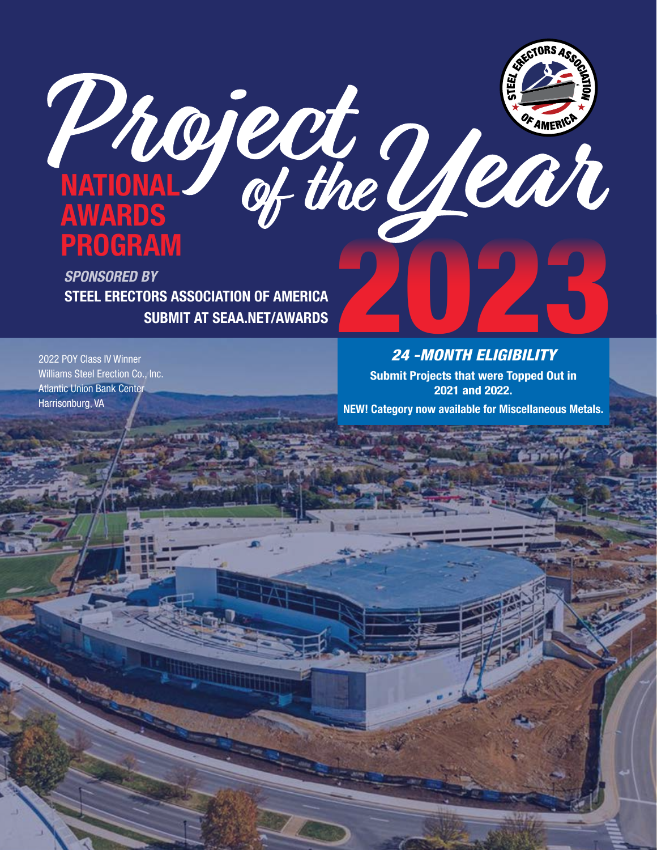

STEEL ERECTORS ASSOCIATION OF AMERICA SUBMIT AT SEAA.NET/AWARDS *SPONSORED BY*

2022 POY Class IV Winner Williams Steel Erection Co., Inc. Atlantic Union Bank Center Harrisonburg, VA

## *24 -MONTH ELIGIBILITY*

Submit Projects that were Topped Out in 2021 and 2022.

NEW! Category now available for Miscellaneous Metals.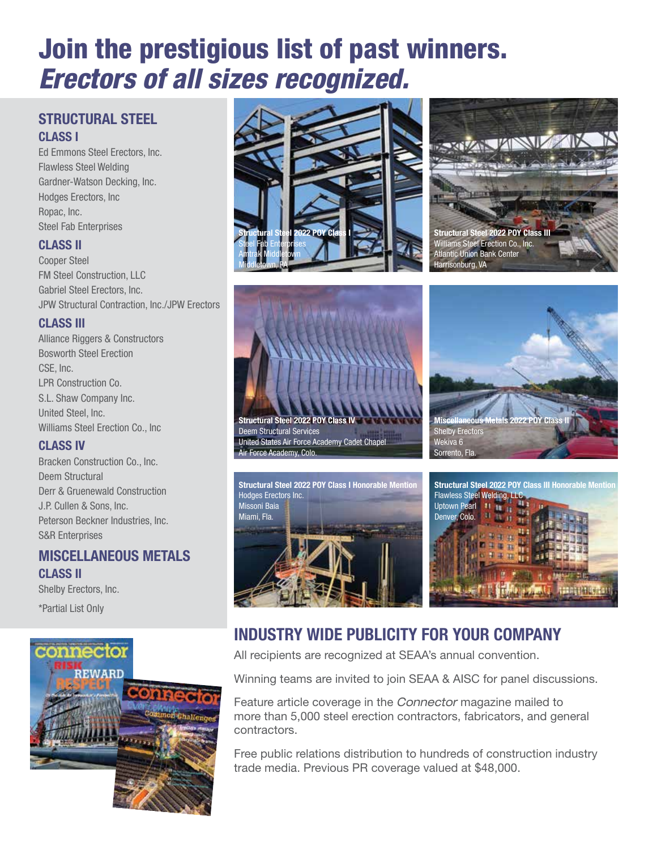## Join the prestigious list of past winners. *Erectors of all sizes recognized.*

#### STRUCTURAL STEEL CLASS I

Ed Emmons Steel Erectors, Inc. Flawless Steel Welding Gardner-Watson Decking, Inc. Hodges Erectors, Inc Ropac, Inc. Steel Fab Enterprises

#### CLASS II

Cooper Steel FM Steel Construction, LLC Gabriel Steel Erectors, Inc. JPW Structural Contraction, Inc./JPW Erectors

#### CLASS III

Alliance Riggers & Constructors Bosworth Steel Erection CSE, Inc. LPR Construction Co. S.L. Shaw Company Inc. United Steel, Inc. Williams Steel Erection Co., Inc

#### CLASS IV

Bracken Construction Co., Inc. Deem Structural Derr & Gruenewald Construction J.P. Cullen & Sons, Inc. Peterson Beckner Industries, Inc. S&R Enterprises

#### MISCELLANEOUS METALS CLASS II

Shelby Erectors, Inc.

\*Partial List Only













## INDUSTRY WIDE PUBLICITY FOR YOUR COMPANY

All recipients are recognized at SEAA's annual convention.

Winning teams are invited to join SEAA & AISC for panel discussions.

Feature article coverage in the *Connector* magazine mailed to more than 5,000 steel erection contractors, fabricators, and general contractors.

Free public relations distribution to hundreds of construction industry trade media. Previous PR coverage valued at \$48,000.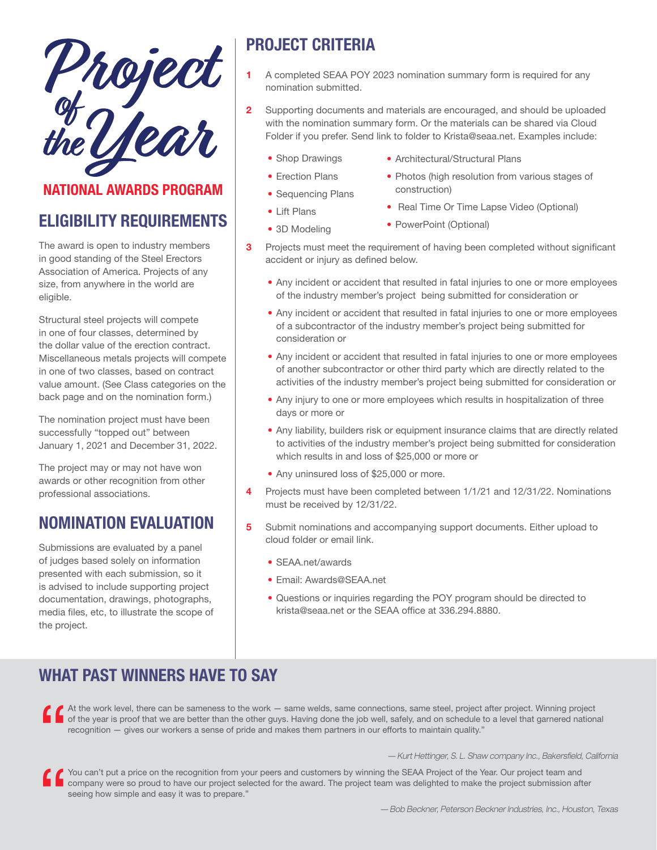Phoject<br>the Ulean

## NATIONAL AWARDS PROGRAM

## ELIGIBILITY REQUIREMENTS

The award is open to industry members in good standing of the Steel Erectors Association of America. Projects of any size, from anywhere in the world are eligible.

Structural steel projects will compete in one of four classes, determined by the dollar value of the erection contract. Miscellaneous metals projects will compete in one of two classes, based on contract value amount. (See Class categories on the back page and on the nomination form.)

The nomination project must have been successfully "topped out" between January 1, 2021 and December 31, 2022.

The project may or may not have won awards or other recognition from other professional associations.

## NOMINATION EVALUATION

Submissions are evaluated by a panel of judges based solely on information presented with each submission, so it is advised to include supporting project documentation, drawings, photographs, media files, etc, to illustrate the scope of the project.

## PROJECT CRITERIA

- 1 A completed SEAA POY 2023 nomination summary form is required for any nomination submitted.
- 2 Supporting documents and materials are encouraged, and should be uploaded with the nomination summary form. Or the materials can be shared via Cloud Folder if you prefer. Send link to folder to Krista@seaa.net. Examples include:

construction)

- Shop Drawings
- Architectural/Structural Plans
- Erection Plans
- Photos (high resolution from various stages of
- Sequencing Plans
- Real Time Or Time Lapse Video (Optional)
- 3D Modeling

• Lift Plans

- PowerPoint (Optional)
- **3** Projects must meet the requirement of having been completed without significant accident or injury as defined below.
	- Any incident or accident that resulted in fatal injuries to one or more employees of the industry member's project being submitted for consideration or
	- Any incident or accident that resulted in fatal injuries to one or more employees of a subcontractor of the industry member's project being submitted for consideration or
	- Any incident or accident that resulted in fatal injuries to one or more employees of another subcontractor or other third party which are directly related to the activities of the industry member's project being submitted for consideration or
	- Any injury to one or more employees which results in hospitalization of three days or more or
	- Any liability, builders risk or equipment insurance claims that are directly related to activities of the industry member's project being submitted for consideration which results in and loss of \$25,000 or more or
	- Any uninsured loss of \$25,000 or more.
- 4 Projects must have been completed between 1/1/21 and 12/31/22. Nominations must be received by 12/31/22.
- 5 Submit nominations and accompanying support documents. Either upload to cloud folder or email link.
	- SEAA.net/awards
	- Email: Awards@SEAA.net
	- Questions or inquiries regarding the POY program should be directed to krista@seaa.net or the SEAA office at 336.294.8880.

## WHAT PAST WINNERS HAVE TO SAY

At the work level, there can be sameness to the work — same welds, same connections, same steel, project after project. Winning project of the year is proof that we are better than the other guys. Having done the job well, of the year is proof that we are better than the other guys. Having done the job well, safely, and on schedule to a level that garnered national recognition — gives our workers a sense of pride and makes them partners in our efforts to maintain quality."

#### *— Kurt Hettinger, S. L. Shaw company Inc., Bakersfield, California*

" You can't put a price on the recognition from your peers and customers by winning the SEAA Project of the Year. Our project team and company were so proud to have our project selected for the award. The project team was delighted to make the project submission after seeing how simple and easy it was to prepare."